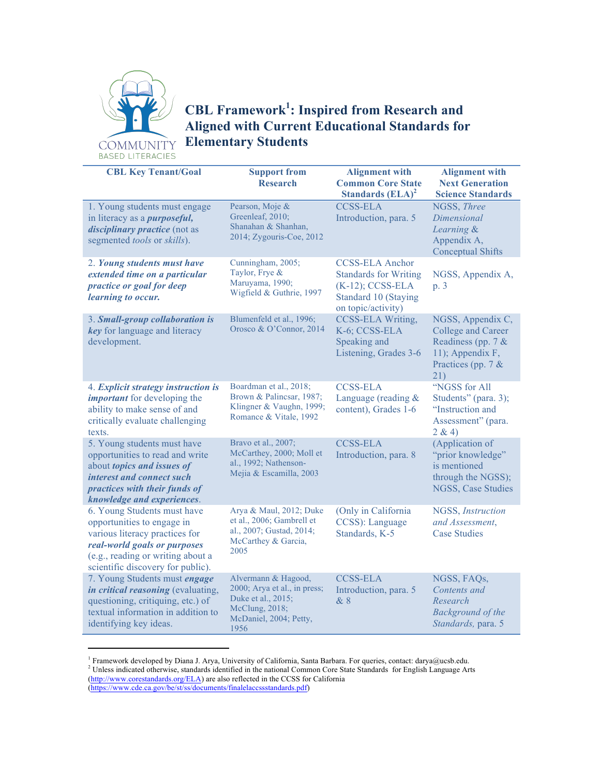

## **CBL Framework1 : Inspired from Research and Aligned with Current Educational Standards for Elementary Students**

**CBL Key Tenant/Goal Support from Research Alignment with Common Core State Standards (ELA)<sup>2</sup> Alignment with Next Generation Science Standards** 1. Young students must engage in literacy as a *purposeful, disciplinary practice* (not as segmented *tools* or *skills*). Pearson, Moje & Greenleaf, 2010; Shanahan & Shanhan, 2014; Zygouris-Coe, 2012 CCSS-ELA Introduction, para. 5 NGSS, *Three Dimensional Learning* & Appendix A, Conceptual Shifts 2. *Young students must have extended time on a particular practice or goal for deep learning to occur.* Cunningham, 2005; Taylor, Frye & Maruyama, 1990; Wigfield & Guthrie, 1997 CCSS-ELA Anchor Standards for Writing (K-12); CCSS-ELA Standard 10 (Staying on topic/activity) NGSS, Appendix A, p. 3 3. *Small-group collaboration is key* for language and literacy development. Blumenfeld et al., 1996; Orosco & O'Connor, 2014 CCSS-ELA Writing, K-6; CCSS-ELA Speaking and Listening, Grades 3-6 NGSS, Appendix C, College and Career Readiness (pp. 7 & 11); Appendix F, Practices (pp. 7 & 21) 4. *Explicit strategy instruction is important* for developing the ability to make sense of and critically evaluate challenging texts. Boardman et al., 2018; Brown & Palincsar, 1987; Klingner & Vaughn, 1999; Romance & Vitale, 1992 CCSS-ELA Language (reading & content), Grades 1-6 "NGSS for All Students" (para. 3); "Instruction and Assessment" (para.  $2 & 4$ 5. Young students must have opportunities to read and write about *topics and issues of interest and connect such practices with their funds of knowledge and experiences*. Bravo et al., 2007; McCarthey, 2000; Moll et al., 1992; Nathenson-Mejia & Escamilla, 2003 CCSS-ELA Introduction, para. 8 (Application of "prior knowledge" is mentioned through the NGSS); NGSS, Case Studies 6. Young Students must have opportunities to engage in various literacy practices for *real-world goals or purposes*  (e.g., reading or writing about a scientific discovery for public). Arya & Maul, 2012; Duke et al., 2006; Gambrell et al., 2007; Gustad, 2014; McCarthey & Garcia, 2005 (Only in California CCSS): Language Standards, K-5 NGSS, *Instruction and Assessment*, Case Studies 7. Young Students must *engage in critical reasoning* (evaluating, questioning, critiquing, etc.) of textual information in addition to identifying key ideas. Alvermann & Hagood, 2000; Arya et al., in press; Duke et al., 2015; McClung, 2018; McDaniel, 2004; Petty, 1956 CCSS-ELA Introduction, para. 5 & 8 NGSS, FAQs, *Contents and Research Background of the Standards,* para. 5

<sup>1</sup> Framework developed by Diana J. Arya, University of California, Santa Barbara. For queries, contact: darya@ucsb.edu. <sup>2</sup> Unless indicated otherwise, standards identified in the national Common Core State Standards for English Language Arts (http://www.corestandards.org/ELA) are also reflected in the CCSS for California (https://www.cde.ca.gov/be/st/ss/documents/finalelaccssstandards.pdf)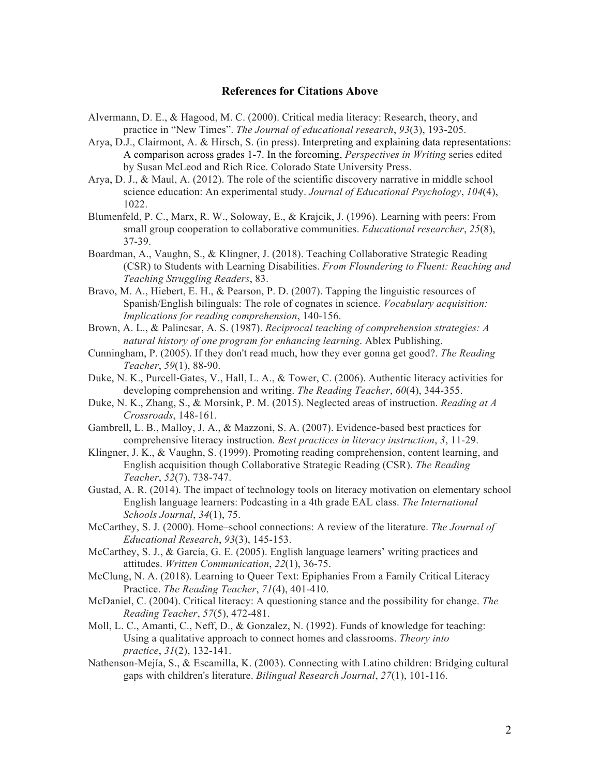## **References for Citations Above**

- Alvermann, D. E., & Hagood, M. C. (2000). Critical media literacy: Research, theory, and practice in "New Times". *The Journal of educational research*, *93*(3), 193-205.
- Arya, D.J., Clairmont, A. & Hirsch, S. (in press). Interpreting and explaining data representations: A comparison across grades 1-7. In the forcoming, *Perspectives in Writing* series edited by Susan McLeod and Rich Rice. Colorado State University Press.
- Arya, D. J., & Maul, A. (2012). The role of the scientific discovery narrative in middle school science education: An experimental study. *Journal of Educational Psychology*, *104*(4), 1022.
- Blumenfeld, P. C., Marx, R. W., Soloway, E., & Krajcik, J. (1996). Learning with peers: From small group cooperation to collaborative communities. *Educational researcher*, *25*(8), 37-39.
- Boardman, A., Vaughn, S., & Klingner, J. (2018). Teaching Collaborative Strategic Reading (CSR) to Students with Learning Disabilities. *From Floundering to Fluent: Reaching and Teaching Struggling Readers*, 83.
- Bravo, M. A., Hiebert, E. H., & Pearson, P. D. (2007). Tapping the linguistic resources of Spanish/English bilinguals: The role of cognates in science. *Vocabulary acquisition: Implications for reading comprehension*, 140-156.
- Brown, A. L., & Palincsar, A. S. (1987). *Reciprocal teaching of comprehension strategies: A natural history of one program for enhancing learning*. Ablex Publishing.
- Cunningham, P. (2005). If they don't read much, how they ever gonna get good?. *The Reading Teacher*, *59*(1), 88-90.
- Duke, N. K., Purcell‐Gates, V., Hall, L. A., & Tower, C. (2006). Authentic literacy activities for developing comprehension and writing. *The Reading Teacher*, *60*(4), 344-355.
- Duke, N. K., Zhang, S., & Morsink, P. M. (2015). Neglected areas of instruction. *Reading at A Crossroads*, 148-161.
- Gambrell, L. B., Malloy, J. A., & Mazzoni, S. A. (2007). Evidence-based best practices for comprehensive literacy instruction. *Best practices in literacy instruction*, *3*, 11-29.
- Klingner, J. K., & Vaughn, S. (1999). Promoting reading comprehension, content learning, and English acquisition though Collaborative Strategic Reading (CSR). *The Reading Teacher*, *52*(7), 738-747.
- Gustad, A. R. (2014). The impact of technology tools on literacy motivation on elementary school English language learners: Podcasting in a 4th grade EAL class. *The International Schools Journal*, *34*(1), 75.
- McCarthey, S. J. (2000). Home–school connections: A review of the literature. *The Journal of Educational Research*, *93*(3), 145-153.
- McCarthey, S. J., & García, G. E. (2005). English language learners' writing practices and attitudes. *Written Communication*, *22*(1), 36-75.
- McClung, N. A. (2018). Learning to Queer Text: Epiphanies From a Family Critical Literacy Practice. *The Reading Teacher*, *71*(4), 401-410.
- McDaniel, C. (2004). Critical literacy: A questioning stance and the possibility for change. *The Reading Teacher*, *57*(5), 472-481.
- Moll, L. C., Amanti, C., Neff, D., & Gonzalez, N. (1992). Funds of knowledge for teaching: Using a qualitative approach to connect homes and classrooms. *Theory into practice*, *31*(2), 132-141.
- Nathenson-Mejía, S., & Escamilla, K. (2003). Connecting with Latino children: Bridging cultural gaps with children's literature. *Bilingual Research Journal*, *27*(1), 101-116.